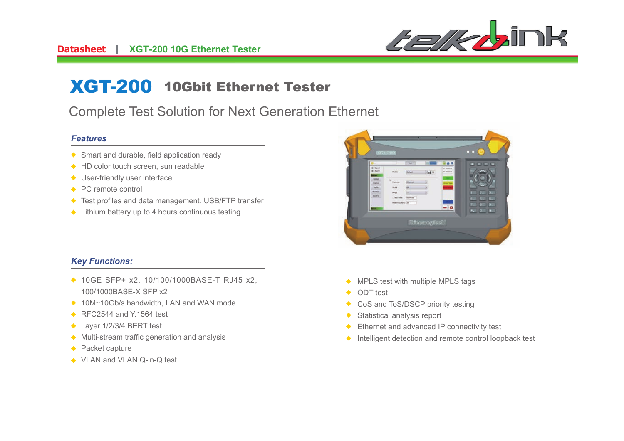

# XGT-200 10Gbit Ethernet Tester

# Complete Test Solution for Next Generation Ethernet

#### *Features*

- ◆ Smart and durable, field application ready
- ◆ HD color touch screen, sun readable
- ◆ User-friendly user interface
- ◆ PC remote control
- ◆ Test profiles and data management, USB/FTP transfer
- ◆ Lithium battery up to 4 hours continuous testing

### *Key Functions:*

- ◆ 10GE SFP+ x2, 10/100/1000BASE-T RJ45 x2, 100/1000BASE-X SFP x2
- ◆ 10M~10Gb/s bandwidth, LAN and WAN mode
- ◆ RFC2544 and Y.1564 test
- ◆ Layer 1/2/3/4 BERT test
- $\triangle$  Multi-stream traffic generation and analysis
- ◆ Packet capture
- ◆ VLAN and VLAN Q-in-Q test



- ◆ MPLS test with multiple MPLS tags
- ODT test $\bullet$
- CoS and ToS/DSCP priority testing $\blacklozenge$
- Statistical analysis report $\bullet$
- Ethernet and advanced IP connectivity test $\bullet$
- $\triangle$  Intelligent detection and remote control loopback test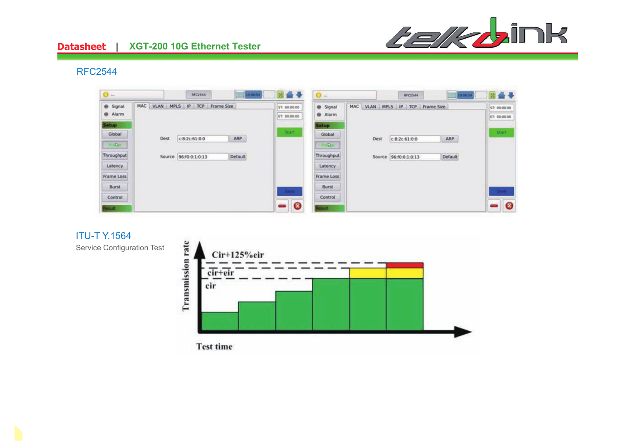

# **Datasheet** | XGT-200 10G Ethernet Tester

#### RFC2544

| <b>O</b>                         |      | <b>RFC2544</b>                 | 10 06 54 |                              | $O -$                           |                                 | <b>RFC2544</b>        | 10 06 54 |                              |
|----------------------------------|------|--------------------------------|----------|------------------------------|---------------------------------|---------------------------------|-----------------------|----------|------------------------------|
| Signal<br>Alarm                  | MAC  | VLAN MPLS IP<br>TCP Frame Size |          | ST. 00:00:00<br>ET: 00:00:00 | Signal<br>٠<br>Alarm            | MAC VLAN MPLS IP TCP Frame Size |                       |          | ST: 00:00:00<br>ET: 00.00.00 |
| <b>Setup</b><br>Global<br>Frange | Dest | c:8:2c:61:0:0                  | ARP      | Start                        | <b>Setup</b><br>Global<br>Praia | Dest                            | c:8:2c:61:0:0         | ARP      | Start                        |
| Throughput<br>Latency            |      | Source 96:f0:0:1:0:13          | Default  |                              | Throughput<br>Latency           |                                 | Source 96:f0:0:1:0:13 | Default  |                              |
| <b>Frame Loss</b><br>Burst       |      |                                |          | <b>Save</b>                  | Frame Loss<br><b>Burst</b>      |                                 |                       |          |                              |
| Control<br><b>tesuit</b>         |      |                                |          | $\bullet$                    | Control<br>lesult.              |                                 |                       |          | $\bullet$                    |

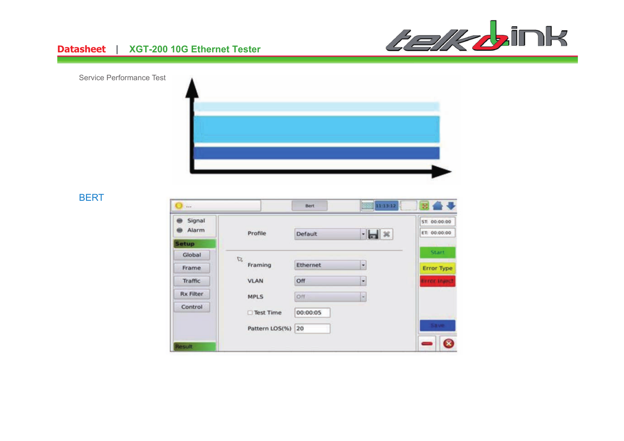

#### **Datasheet** | **XGT-200 10G Ethernet Tester**

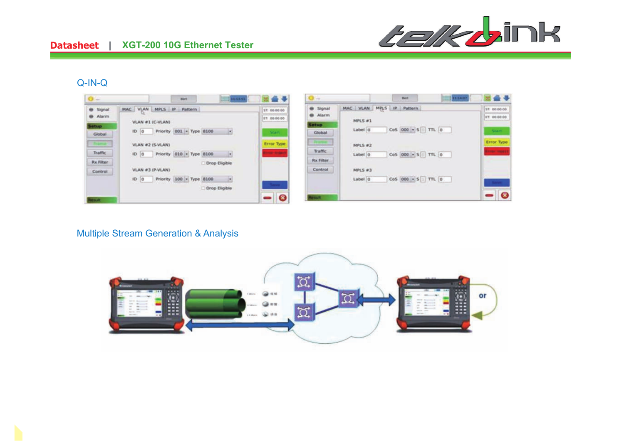

#### Q-IN-Q



#### Multiple Stream Generation & Analysis

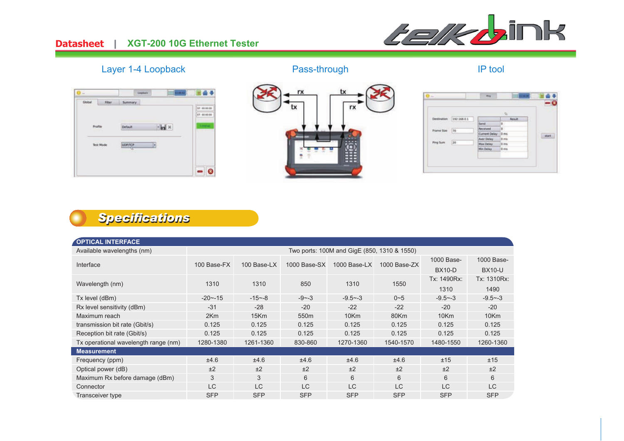#### <u>**Datasheet** |</u> **XGT-200 10G Ethernet Tester**



### Layer 1-4 Loopback



## Pass-through

### IP tool





# *Specifications*

| <b>OPTICAL INTERFACE</b>             |                                             |             |                  |              |                |               |               |  |  |
|--------------------------------------|---------------------------------------------|-------------|------------------|--------------|----------------|---------------|---------------|--|--|
| Available wavelengths (nm)           | Two ports: 100M and GigE (850, 1310 & 1550) |             |                  |              |                |               |               |  |  |
|                                      |                                             | 100 Base-LX |                  | 1000 Base-LX |                | 1000 Base-    | 1000 Base-    |  |  |
| Interface                            | 100 Base-FX                                 |             | $1000$ Base-SX   |              | $1000$ Base-ZX | <b>BX10-D</b> | <b>BX10-U</b> |  |  |
|                                      |                                             |             |                  |              | 1550           | Tx: 1490Rx:   | Tx: 1310Rx:   |  |  |
| Wavelength (nm)                      | 1310                                        | 1310        | 850              | 1310         |                | 1310          | 1490          |  |  |
| Tx level (dBm)                       | $-20 - -15$                                 | $-15 - 8$   | $-9 - -3$        | $-9.5 - -3$  | $0 - 5$        | $-9.5 - -3$   | $-9.5 - -3$   |  |  |
| Rx level sensitivity (dBm)           | $-31$                                       | $-28$       | $-20$            | $-22$        | $-22$          | $-20$         | $-20$         |  |  |
| Maximum reach                        | 2Km                                         | 15Km        | 550 <sub>m</sub> | 10Km         | 80Km           | 10Km          | 10Km          |  |  |
| transmission bit rate (Gbit/s)       | 0.125                                       | 0.125       | 0.125            | 0.125        | 0.125          | 0.125         | 0.125         |  |  |
| Reception bit rate (Gbit/s)          | 0.125                                       | 0.125       | 0.125            | 0.125        | 0.125          | 0.125         | 0.125         |  |  |
| Tx operational wavelength range (nm) | 1280-1380                                   | 1261-1360   | 830-860          | 1270-1360    | 1540-1570      | 1480-1550     | 1260-1360     |  |  |
| <b>Measurement</b>                   |                                             |             |                  |              |                |               |               |  |  |
| Frequency (ppm)                      | ±4.6                                        | ±4.6        | ±4.6             | ±4.6         | ±4.6           | ±15           | ±15           |  |  |
| Optical power (dB)                   | ±2                                          | ±2          | ±2               | ±2           | ±2             | ±2            | ±2            |  |  |
| Maximum Rx before damage (dBm)       | 3                                           | 3           | 6                | 6            | 6              | 6             | 6             |  |  |
| Connector                            | <b>LC</b>                                   | <b>LC</b>   | <b>LC</b>        | <b>LC</b>    | <b>LC</b>      | <b>LC</b>     | <b>LC</b>     |  |  |
| Transceiver type                     | <b>SFP</b>                                  | <b>SFP</b>  | <b>SFP</b>       | <b>SFP</b>   | <b>SFP</b>     | <b>SFP</b>    | <b>SFP</b>    |  |  |